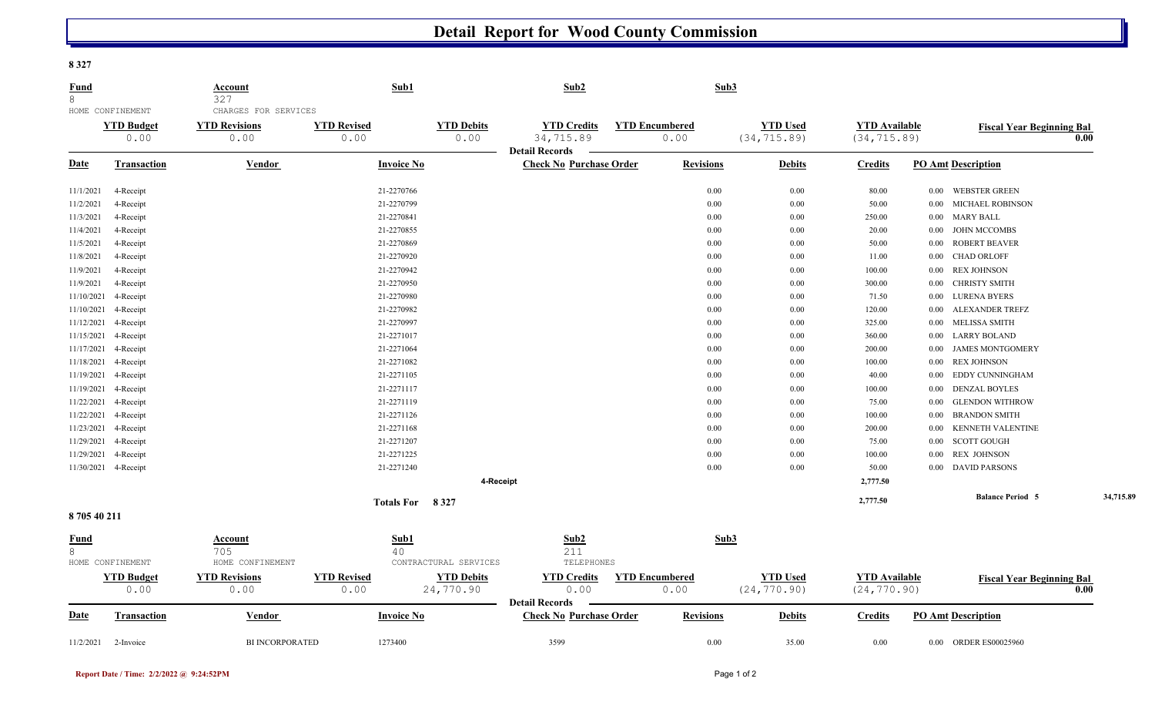## **Detail Report for Wood County Commission**

**8 327** 

| <b>Fund</b> |                           | <b>Account</b>               | Sub1                       |                           | Sub2                                                    |                               | Sub3             |                                 |                                      |          |                                  |           |
|-------------|---------------------------|------------------------------|----------------------------|---------------------------|---------------------------------------------------------|-------------------------------|------------------|---------------------------------|--------------------------------------|----------|----------------------------------|-----------|
| 8           | HOME CONFINEMENT          | 327<br>CHARGES FOR SERVICES  |                            |                           |                                                         |                               |                  |                                 |                                      |          |                                  |           |
|             | <b>YTD Budget</b><br>0.00 | <b>YTD Revisions</b><br>0.00 | <b>YTD Revised</b><br>0.00 | <b>YTD Debits</b><br>0.00 | <b>YTD Credits</b><br>34,715.89                         | <b>YTD Encumbered</b><br>0.00 |                  | <b>YTD Used</b><br>(34, 715.89) | <b>YTD</b> Available<br>(34, 715.89) |          | <b>Fiscal Year Beginning Bal</b> | 0.00      |
| <b>Date</b> | <b>Transaction</b>        | Vendor                       | <b>Invoice No</b>          |                           | <b>Detail Records</b><br><b>Check No Purchase Order</b> |                               | <b>Revisions</b> | <b>Debits</b>                   | <b>Credits</b>                       |          | <b>PO Amt Description</b>        |           |
| 11/1/2021   | 4-Receipt                 |                              | 21-2270766                 |                           |                                                         |                               | 0.00             | $0.00\,$                        | 80.00                                | $0.00\,$ | <b>WEBSTER GREEN</b>             |           |
| 11/2/2021   | 4-Receipt                 |                              | 21-2270799                 |                           |                                                         |                               | 0.00             | 0.00                            | 50.00                                | $0.00\,$ | <b>MICHAEL ROBINSON</b>          |           |
| 11/3/2021   | 4-Receipt                 |                              | 21-2270841                 |                           |                                                         |                               | 0.00             | 0.00                            | 250.00                               | $0.00\,$ | <b>MARY BALL</b>                 |           |
| 11/4/2021   | 4-Receipt                 |                              | 21-2270855                 |                           |                                                         |                               | 0.00             | 0.00                            | 20.00                                | $0.00\,$ | <b>JOHN MCCOMBS</b>              |           |
| 11/5/2021   | 4-Receipt                 |                              | 21-2270869                 |                           |                                                         |                               | 0.00             | 0.00                            | 50.00                                | $0.00\,$ | <b>ROBERT BEAVER</b>             |           |
| 11/8/2021   | 4-Receipt                 |                              | 21-2270920                 |                           |                                                         |                               | 0.00             | 0.00                            | 11.00                                | $0.00\,$ | <b>CHAD ORLOFF</b>               |           |
| 11/9/2021   | 4-Receipt                 |                              | 21-2270942                 |                           |                                                         |                               | 0.00             | 0.00                            | 100.00                               | $0.00\,$ | <b>REX JOHNSON</b>               |           |
| 11/9/2021   | 4-Receipt                 |                              | 21-2270950                 |                           |                                                         |                               | 0.00             | 0.00                            | 300.00                               | $0.00\,$ | CHRISTY SMITH                    |           |
| 11/10/2021  | 4-Receipt                 |                              | 21-2270980                 |                           |                                                         |                               | 0.00             | 0.00                            | 71.50                                | $0.00\,$ | LURENA BYERS                     |           |
| 11/10/2021  | 4-Receipt                 |                              | 21-2270982                 |                           |                                                         |                               | 0.00             | 0.00                            | 120.00                               | $0.00\,$ | ALEXANDER TREFZ                  |           |
| 11/12/2021  | 4-Receipt                 |                              | 21-2270997                 |                           |                                                         |                               | 0.00             | 0.00                            | 325.00                               | $0.00\,$ | <b>MELISSA SMITH</b>             |           |
| 11/15/2021  | 4-Receipt                 |                              | 21-2271017                 |                           |                                                         |                               | 0.00             | 0.00                            | 360.00                               | $0.00\,$ | <b>LARRY BOLAND</b>              |           |
| 11/17/2021  | 4-Receipt                 |                              | 21-2271064                 |                           |                                                         |                               | 0.00             | 0.00                            | 200.00                               | $0.00\,$ | <b>JAMES MONTGOMERY</b>          |           |
| 11/18/2021  | 4-Receipt                 |                              | 21-2271082                 |                           |                                                         |                               | 0.00             | 0.00                            | 100.00                               | $0.00\,$ | <b>REX JOHNSON</b>               |           |
| 11/19/2021  | 4-Receipt                 |                              | 21-2271105                 |                           |                                                         |                               | 0.00             | 0.00                            | 40.00                                | $0.00\,$ | EDDY CUNNINGHAM                  |           |
| 11/19/2021  | 4-Receipt                 |                              | 21-2271117                 |                           |                                                         |                               | 0.00             | 0.00                            | 100.00                               | $0.00\,$ | <b>DENZAL BOYLES</b>             |           |
| 11/22/2021  | 4-Receipt                 |                              | 21-2271119                 |                           |                                                         |                               | 0.00             | 0.00                            | 75.00                                | $0.00\,$ | <b>GLENDON WITHROW</b>           |           |
| 11/22/2021  | 4-Receipt                 |                              | 21-2271126                 |                           |                                                         |                               | 0.00             | 0.00                            | 100.00                               | $0.00\,$ | <b>BRANDON SMITH</b>             |           |
| 11/23/2021  | 4-Receipt                 |                              | 21-2271168                 |                           |                                                         |                               | 0.00             | 0.00                            | 200.00                               | $0.00\,$ | KENNETH VALENTINE                |           |
| 11/29/2021  | 4-Receipt                 |                              | 21-2271207                 |                           |                                                         |                               | 0.00             | 0.00                            | 75.00                                | $0.00\,$ | <b>SCOTT GOUGH</b>               |           |
| 11/29/2021  | 4-Receipt                 |                              | 21-2271225                 |                           |                                                         |                               | 0.00             | 0.00                            | 100.00                               | $0.00\,$ | <b>REX JOHNSON</b>               |           |
|             | 11/30/2021 4-Receipt      |                              | 21-2271240                 |                           |                                                         |                               | $0.00\,$         | 0.00                            | 50.00                                |          | 0.00 DAVID PARSONS               |           |
|             |                           |                              |                            | 4-Receipt                 |                                                         |                               |                  |                                 | 2,777.50                             |          |                                  |           |
|             |                           |                              | Totals For 8327            |                           |                                                         |                               |                  |                                 | 2,777.50                             |          | <b>Balance Period 5</b>          | 34,715.89 |
| 870540211   |                           |                              |                            |                           |                                                         |                               |                  |                                 |                                      |          |                                  |           |
| Fund        |                           | Account                      | Sub1                       |                           | Sub2                                                    |                               | Sub3             |                                 |                                      |          |                                  |           |
| 8           |                           | 705                          | 40                         |                           | 211                                                     |                               |                  |                                 |                                      |          |                                  |           |
|             | HOME CONFINEMENT          | HOME CONFINEMENT             |                            | CONTRACTURAL SERVICES     | TELEPHONES                                              |                               |                  |                                 |                                      |          |                                  |           |
|             | <b>YTD Budget</b>         | <b>YTD Revisions</b>         | <b>YTD Revised</b>         | <b>YTD Debits</b>         | <b>YTD Credits</b>                                      | <b>YTD Encumbered</b>         |                  | <b>YTD Used</b>                 | <b>YTD</b> Available                 |          | <b>Fiscal Year Beginning Bal</b> |           |
|             | 0.00                      | 0.00                         | 0.00                       | 24,770.90                 | 0.00<br><b>Detail Records</b>                           | 0.00                          |                  | (24, 770.90)                    | (24, 770.90)                         |          |                                  | 0.00      |
| <b>Date</b> | <b>Transaction</b>        | Vendor                       | <b>Invoice No</b>          |                           | <b>Check No Purchase Order</b>                          |                               | <b>Revisions</b> | <b>Debits</b>                   | <b>Credits</b>                       |          | <b>PO Amt Description</b>        |           |
|             |                           |                              |                            |                           |                                                         |                               |                  |                                 |                                      |          |                                  |           |

11/2/2021 2-Invoice BI INCORPORATED 1273400 3599 0.00 35.00 0.00 0.00 ORDER ES00025960